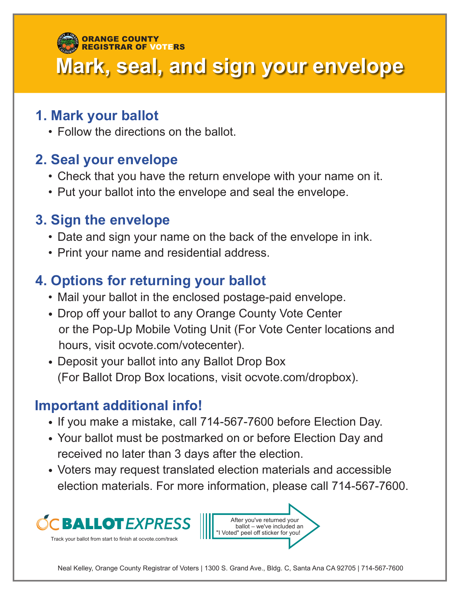#### **Mark, seal, and sign your envelope** ORANGE COUNTY REGISTRAR OF VOTERS

#### **1. Mark your ballot**

• Follow the directions on the ballot.

### **2. Seal your envelope**

- Check that you have the return envelope with your name on it.
- Put your ballot into the envelope and seal the envelope.

# **3. Sign the envelope**

- Date and sign your name on the back of the envelope in ink.
- Print your name and residential address.

# **4. Options for returning your ballot**

- Mail your ballot in the enclosed postage-paid envelope.
- Drop off your ballot to any Orange County Vote Center or the Pop-Up Mobile Voting Unit (For Vote Center locations and hours, visit ocvote.com/votecenter).
- Deposit your ballot into any Ballot Drop Box (For Ballot Drop Box locations, visit ocvote.com/dropbox).

#### **Important additional info!**

- If you make a mistake, call 714-567-7600 before Election Day.
- Your ballot must be postmarked on or before Election Day and received no later than 3 days after the election.
- Voters may request translated election materials and accessible election materials. For more information, please call 714-567-7600.